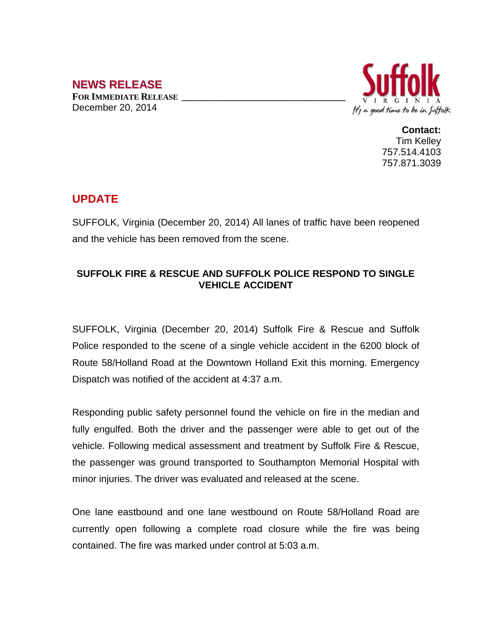## **NEWS RELEASE**

**FOR IMMEDIATE RELEASE \_\_\_\_\_\_\_\_\_\_\_\_\_\_\_\_\_\_\_\_\_\_\_\_\_\_\_\_\_\_\_\_\_\_** December 20, 2014



**Contact:** Tim Kelley 757.514.4103 757.871.3039

## **UPDATE**

SUFFOLK, Virginia (December 20, 2014) All lanes of traffic have been reopened and the vehicle has been removed from the scene.

## **SUFFOLK FIRE & RESCUE AND SUFFOLK POLICE RESPOND TO SINGLE VEHICLE ACCIDENT**

SUFFOLK, Virginia (December 20, 2014) Suffolk Fire & Rescue and Suffolk Police responded to the scene of a single vehicle accident in the 6200 block of Route 58/Holland Road at the Downtown Holland Exit this morning. Emergency Dispatch was notified of the accident at 4:37 a.m.

Responding public safety personnel found the vehicle on fire in the median and fully engulfed. Both the driver and the passenger were able to get out of the vehicle. Following medical assessment and treatment by Suffolk Fire & Rescue, the passenger was ground transported to Southampton Memorial Hospital with minor injuries. The driver was evaluated and released at the scene.

One lane eastbound and one lane westbound on Route 58/Holland Road are currently open following a complete road closure while the fire was being contained. The fire was marked under control at 5:03 a.m.